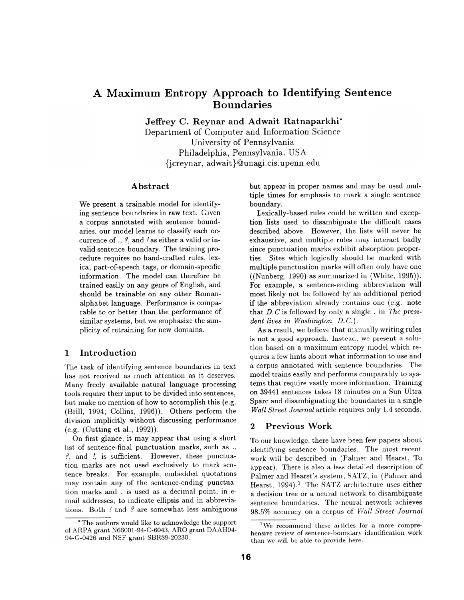# **A Maximum Entropy Approach to Identifying Sentence Boundaries**

**Jeffrey C. Reynar and Adwait Ratnaparkhi\*** 

Department of Computer and Information Science University of Pennsylvania Philadelphia, Pennsylvania, USA {jcreynar, adwait } @unagi.cis.upenn.edu

#### **Abstract**

We present a trainable model for identifying sentence boundaries in raw text. Given a corpus annotated with sentence boundaries, our model learns to classify each occurrence of., ?, and / as either a valid or invalid sentence boundary. The training procedure requires no hand-crafted rules, lexica, part-of-speech tags, or domain-specific information. The model can therefore be trained easily on any genre of English, and should be trainable on any other Romanalphabet language. Performance is comparable to or better than the performance of similar systems, but we emphasize the simplicity of retraining for new domains.

# 1 Introduction

The task of identifying sentence boundaries in text has not received as much attention as it deserves. Many freely available natural language processing tools require their input to be divided into sentences, but make no mention of how to accomplish this (e.g. (Brill, 1994; Collins, 1996)). Others perform the division implicitly without discussing performance (e.g. (Cutting et al., 1992)).

On first glance, it may appear that using a short list of sentence-final punctuation marks, such as., ?, and /, is sufficient. However, these punctuation marks are not used exclusively to mark sentence breaks. For example, embedded quotations may contain any of the sentence-ending punctuation marks and . is used as a decimal point, in email addresses, to indicate ellipsis and in abbreviations. Both / and ? are somewhat less ambiguous but appear in proper names and may be used multiple times for emphasis to mark a single sentence boundary.

Lexically-based rules could be written and exception lists used to disambiguate the difficult **cases**  described above. However, the lists will never be exhaustive, and multiple rules may interact badly since punctuation marks exhibit absorption properties. Sites which logically should be marked with multiple punctuation marks will often only have one ((Nunberg, 1990) as summarized in (White, 1995)). For example, a sentence-ending abbreviation will most likely not be followed by an additional period if the abbreviation already contains one (e.g. note that D. C is followed by only a single . in *The president lives in Washington, D.C.).* 

As a result, we believe that manually writing rules is not a good approach. Instead, we present a solution based on a maximum entropy model which requires a few hints about what information to use and a corpus annotated with sentence boundaries. The model trains easily and performs comparably to systems that require vastly more information. Training on 39441 sentences takes 18 minutes on a Sun Ultra Sparc and disambiguating the boundaries in a single *Wall Street Journal* article requires only 1.4 seconds.

# 2 Previous Work

To our knowledge, there have been few papers about identifying sentence boundaries. The most recent work will be described in (Palmer and Hearst, To appear). There is also a less detailed description of Palmer and Hearst's system, SATZ, in (Palmer and Hearst,  $1994$ ).<sup>1</sup> The SATZ architecture uses either a decision tree or a neural network to disambiguate sentence boundaries. The neural network achieves 98.5% accuracy on a corpus of *Wall Street Journal* 

<sup>\*</sup> The authors would like to aclmowledge the support of ARPA grant N66001-94-C-6043, ARO grant DAAH04- 94-G-0426 and NSF grant SBR89-20230.

 $1$ We recommend these articles for a more comprehensive review of sentence-boundary identification work than we will be able to provide here.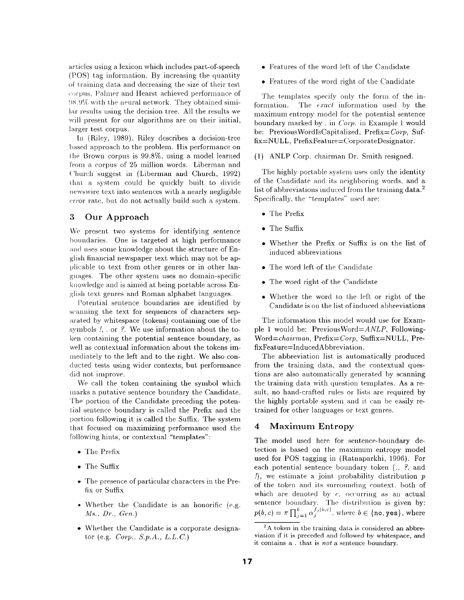articles using a lexicon which includes part-of-speech (POS) tag information. By increasing the quantity of training data and decreasing the size of their test corpus. Palmer and Hearst achieved performance of !)s.9% with the neural network. They obtained similar results using the decision tree. All the results we will present for our algorithms are on their initial, larger test corpus.

In (Riley, 1989), Riley describes a decision-tree based approach to the problem. His performance on the Brown corpus is 99.8%, using a model learned from a corpus of 25 million words. Liberman and Church suggest in (Liberman and Church, 1992) that. a system could be quickly built to divide newswire text into sentences with a nearly negligible error rate. but, do not actually build such a system.

# **3 Our Approach**

We present two systems for identifying sentence boundaries. One is targeted at high performance and uses some knowledge about the structure of English financial newspaper text which may not be applicable to text from other genres or in other languages. The other system uses no domain-specific knowledge and is aimed at being portable across English text genres and Roman alphabet languages.

Potential sentence boundaries are identified by scanning the text for sequences of characters separated by whitespace (tokens) containing one of the symbols !, . or ?. We use information about the token containing the potential sentence boundary, as well as contextual information about the tokens immediately to the left and to the right. We also conducted tests using wider contexts, but performance did not improve.

We call the token containing the symbol which marks a putative sentence boundary the Candidate. 'Phe portion of the Candidate preceding the potential sentence boundary is called the Prefix and the portion following it is called the Suffix. The system that focused on maximizing performance used the following hints, or contextual "templates":

- The Prefix
- The Suffix
- The presence of particular characters in the Prefix or Suffix
- Whether the Candidate is an honorific (e.g. *Ms., Dr., Gen.*)
- Whether the Candidate is a corporate designator (e.g. *Corp.*, *S.p.A.*, *L.L.C.*)
- Features of the word left of the Candidate
- Features of the word right of the Candidate

The templates specify only the form of the information. The  $\epsilon x a c t$  information used by the maximum entropy model for the potential sentence boundary marked by . in  $Corp.$  in Example 1 would be: PreviousWordIsCapitalized, Prefix=Corp, Suf $fix=NULL$ , PrefixFeature=CorporateDesignator.

(1) ANLP Corp. chairman Dr. Smith resigned.

The highly portable system uses only the identity of the Candidate and its neighboring words, and a list of abbreviations induced from the training data.<sup>2</sup> Specifically, the "templates" used are:

- The Prefix
- The Suffix
- Whether the Prefix or Suffix is on the list of induced abbreviations
- The word left of the Candidate
- The word right of the Candidate
- Whether the word to the left or right of the Candidate is on the list of induced abbreviations

The information this model would use for Example 1 would be: *PreviousWord=ANLP,* Following-*Word=chairman, Prefix=Corp,* Suffix=NULL, PrefixFeature=InducedAbbreviation.

The abbreviation list is automatically produced from the training data., and the contextual questions are also automatically generated by scanning the training data with question templates. As a result, no hand-crafted rules or lists are required by the highly portable system and it can be easily retrained for other languages or text genres.

# 4 Maximum Entropy

The model used here for sentence-boundary detection is based on the maximum entropy model used for POS tagging in (Ratnaparkhi, 1996). For each potential sentence boundary token  $(., ?, and)$  $\eta$ , we estimate a joint probability distribution  $p$ of the token and its surrounding context, both of which are denoted by  $c$ , occurring as an actual sentence boundary. The distribution is given by:<br> $p(b, c) = \pi \prod_{i=1}^{k} \alpha_i^{f_j(b, c)}$ , where  $b \in \{\text{no, yes}\}\,$ , where

 $2A$  token in the training data is considered an abbreviation if it is preceded and followed by whitespace, and it contains a . that is *not* a sentence boundary.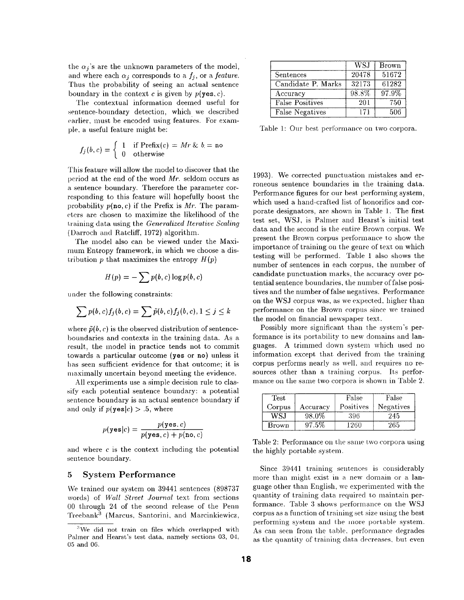the  $\alpha_j$ 's are the unknown parameters of the model, and where each  $\alpha_i$  corresponds to a  $f_i$ , or a *feature*. Thus the probability of seeing an actual sentence boundary in the context c is given by  $p(\text{yes}, c)$ .

The contextual information deemed useful for sentence-boundary detection, which we described earlier, must be encoded using features. For exampie, a useful feature might be:

$$
f_j(b,c) = \begin{cases} 1 & \text{if } \text{Prefix}(c) = Mr & b = \text{no} \\ 0 & \text{otherwise} \end{cases}
$$

This feature will allow the model to discover that the period at the end of the word  $Mr.$  seldom occurs as a sentence boundary. Therefore the parameter corresponding to this feature will hopefully boost the probability  $p(\textbf{no}, c)$  if the Prefix is Mr. The parameters are chosen to maximize the likelihood of the I.raining data using the *Generalized Iterative Scaling*  (Darroeh and Ratcliff, 1972) algorithm.

The model also can be viewed under the Maximum Entropy framework, in which we choose a distribution p that maximizes the entropy  $H(p)$ 

$$
H(p) = -\sum p(b, c) \log p(b, c)
$$

under the following constraints:

$$
\sum p(b,c)f_j(b,c) = \sum \tilde{p}(b,c)f_j(b,c), 1 \leq j \leq k
$$

where  $\tilde{p}(b, c)$  is the observed distribution of sentenceboundaries and contexts in the training data. As a result, the model in practice tends not to commit towards a particular outcome (yes or no) unless it has seen sufficient evidence for that outcome; it is maximally uncertain beyond meeting the evidence.

All experiments use a simple decision rule to elassify each potential sentence boundary: a potential sentence boundary is an actual sentence boundary if and only if  $p(\text{yes}|c) > .5$ , where

$$
p(\mathtt{yes}|c) = \frac{p(\mathtt{yes}, c)}{p(\mathtt{yes}, c) + p(\mathtt{no}, c)}
$$

and where  $c$  is the context including the potential sentence boundary.

# 5 System Performance

We trained our system on 39441 sentences (898737 words) of *Wall Street Journal* text from sections 00 through 24 of the second release of the Penn Treebank<sup>3</sup> (Marcus, Santorini, and Marcinkiewicz,

|                        | <b>WSI</b> | <b>Brown</b> |
|------------------------|------------|--------------|
| Sentences              | 20478      | 51672        |
| Candidate P. Marks     | 32173      | 61282        |
| Accuracy               | 98.8%      | 97.9%        |
| <b>False Positives</b> | 201        | 750          |
| False Negatives        | 171        | 506          |

Table 1: Our best performance on two corpora.

1993). We corrected punctuation mistakes and erroneous sentence boundaries in the training data. Performance figures for our best performing system, which used a hand-crafted list of honorifics and corporate designators, are shown in Table 1. The first test set, WSJ, is Pahner and Hearst's initial test data and the second is the entire Brown corpus. We present the Brown corpus performance to show the importance of training on the genre of text on which testing will be performed. Table 1 also shows the number of sentences in each corpus, the number of candidate punctuation marks, the accuracy over potential sentence boundaries, the number of false positives and the number of false negatives. Performance on the WSJ corpus was, as we expected, higher than performance on the Brown corpus since we trained the model on financial newspaper text.

Possibly more significant than the system's performance is its portability to new domains and languages. A trimmed down system which used no information except that derived from the training corpus performs nearly as well, and requires no resources other than a training corpus. Its performance on the same two corpora is shown in Table 2.

| Test   |          | False     | False     |
|--------|----------|-----------|-----------|
| Corpus | Accuracv | Positives | Negatives |
| WSJ    | 98.0%    | 396       | 245       |
| Brown  | $97.5\%$ | 1260      | 265       |

Table 2: Performance on the same two corpora using the highly portable system.

Since 39441 training sentences is considerably more than might exist in a new domain or a language other than English, we experimented with the quantity of training data required to maintain performance. Table 3 shows performance on the WSJ corpus as a function of training set size using the best performing system and the more portable system. As can seen from the table, performance degrades as the quantity of training data decreases, but even

 $3$ We did not train on files which overlapped with Pahner and Hearst's test data, namely sections 03, 04, 05 and 06.